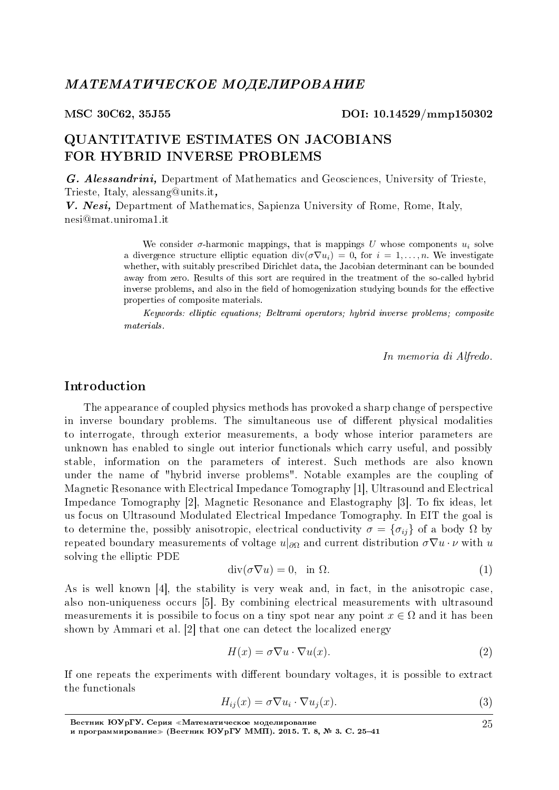## QUANTITATIVE ESTIMATES ON JACOBIANS FOR HYBRID INVERSE PROBLEMS

G. Alessandrini, Department of Mathematics and Geosciences, University of Trieste, Trieste, Italy, alessang@units.it,

V. Nesi, Department of Mathematics, Sapienza University of Rome, Rome, Italy, nesi@mat.uniroma1.it

> We consider  $\sigma$ -harmonic mappings, that is mappings U whose components  $u_i$  solve a divergence structure elliptic equation  $\text{div}(\sigma \nabla u_i) = 0$ , for  $i = 1, \ldots, n$ . We investigate whether, with suitably prescribed Dirichlet data, the Jacobian determinant can be bounded away from zero. Results of this sort are required in the treatment of the so-called hybrid inverse problems, and also in the field of homogenization studying bounds for the effective properties of composite materials.

> Keywords: elliptic equations; Beltrami operators; hybrid inverse problems; composite materials.

> > In memoria di Alfredo.

## Introduction

The appearance of coupled physics methods has provoked a sharp change of perspective in inverse boundary problems. The simultaneous use of different physical modalities to interrogate, through exterior measurements, a body whose interior parameters are unknown has enabled to single out interior functionals which carry useful, and possibly stable, information on the parameters of interest. Such methods are also known under the name of "hybrid inverse problems". Notable examples are the coupling of Magnetic Resonance with Electrical Impedance Tomography [1], Ultrasound and Electrical Impedance Tomography [2], Magnetic Resonance and Elastography [3]. To fix ideas, let us focus on Ultrasound Modulated Electrical Impedance Tomography. In EIT the goal is to determine the, possibly anisotropic, electrical conductivity  $\sigma = {\sigma_{ij}}$  of a body  $\Omega$  by repeated boundary measurements of voltage  $u|_{\partial\Omega}$  and current distribution  $\sigma \nabla u \cdot \nu$  with *u* solving the elliptic PDE

$$
\operatorname{div}(\sigma \nabla u) = 0, \quad \text{in } \Omega. \tag{1}
$$

As is well known [4], the stability is very weak and, in fact, in the anisotropic case, also non-uniqueness occurs [5]. By combining electrical measurements with ultrasound measurements it is possibile to focus on a tiny spot near any point  $x \in \Omega$  and it has been shown by Ammari et al. [2] that one can detect the localized energy

$$
H(x) = \sigma \nabla u \cdot \nabla u(x). \tag{2}
$$

If one repeats the experiments with different boundary voltages, it is possible to extract the functionals

$$
H_{ij}(x) = \sigma \nabla u_i \cdot \nabla u_j(x). \tag{3}
$$

Вестник ЮУрГУ. Серия «Математическое моделирование и программирование» (Вестник ЮУрГУ ММП). 2015. Т. 8, № 3. С. 25-41

25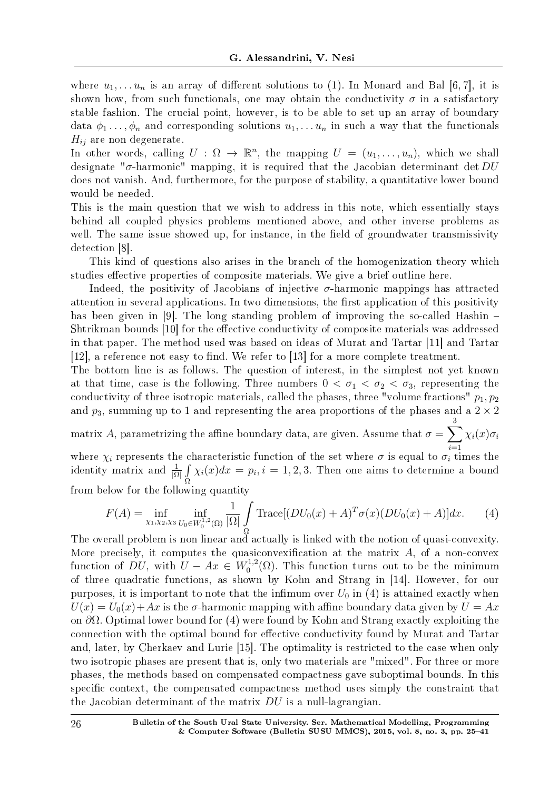where  $u_1, \ldots u_n$  is an array of different solutions to (1). In Monard and Bal [6, 7], it is shown how, from such functionals, one may obtain the conductivity  $\sigma$  in a satisfactory stable fashion. The crucial point, however, is to be able to set up an array of boundary data  $\phi_1 \ldots, \phi_n$  and corresponding solutions  $u_1, \ldots, u_n$  in such a way that the functionals  $H_{ij}$  are non degenerate.

In other words, calling  $U : \Omega \to \mathbb{R}^n$ , the mapping  $U = (u_1, \ldots, u_n)$ , which we shall designate "*σ*-harmonic" mapping, it is required that the Jacobian determinant det *DU* does not vanish. And, furthermore, for the purpose of stability, a quantitative lower bound would be needed.

This is the main question that we wish to address in this note, which essentially stays behind all coupled physics problems mentioned above, and other inverse problems as well. The same issue showed up, for instance, in the field of groundwater transmissivity detection [8].

This kind of questions also arises in the branch of the homogenization theory which studies effective properties of composite materials. We give a brief outline here.

Indeed, the positivity of Jacobians of injective  $\sigma$ -harmonic mappings has attracted attention in several applications. In two dimensions, the first application of this positivity has been given in [9]. The long standing problem of improving the so-called Hashin – Shtrikman bounds [10] for the effective conductivity of composite materials was addressed in that paper. The method used was based on ideas of Murat and Tartar [11] and Tartar  $[12]$ , a reference not easy to find. We refer to  $[13]$  for a more complete treatment.

The bottom line is as follows. The question of interest, in the simplest not yet known at that time, case is the following. Three numbers  $0 < \sigma_1 < \sigma_2 < \sigma_3$ , representing the conductivity of three isotropic materials, called the phases, three "volume fractions"  $p_1, p_2$ and  $p_3$ , summing up to 1 and representing the area proportions of the phases and a  $2 \times 2$ 3

matrix *A*, parametrizing the affine boundary data, are given. Assume that  $\sigma = \sum$ *χi*(*x*)*σ<sup>i</sup>*

where  $\chi_i$  represents the characteristic function of the set where  $\sigma$  is equal to  $\sigma_i$  times the identity matrix and <sup>1</sup> *|*Ω*|* ∫ Ω  $\chi_i(x)dx = p_i, i = 1, 2, 3$ . Then one aims to determine a bound from below for the following quantity

$$
F(A) = \inf_{\chi_1, \chi_2, \chi_3} \inf_{U_0 \in W_0^{1,2}(\Omega)} \frac{1}{|\Omega|} \int_{\Omega} \text{Trace}[(DU_0(x) + A)^T \sigma(x) (DU_0(x) + A)] dx. \tag{4}
$$

The overall problem is non linear and actually is linked with the notion of quasi-convexity. More precisely, it computes the quasiconvexification at the matrix  $A$ , of a non-convex function of *DU*, with  $U - Ax \in W_0^{1,2}$  $C_0^{1,2}(\Omega)$ . This function turns out to be the minimum of three quadratic functions, as shown by Kohn and Strang in [14]. However, for our purposes, it is important to note that the infimum over  $U_0$  in (4) is attained exactly when  $U(x) = U_0(x) + Ax$  is the *σ*-harmonic mapping with affine boundary data given by  $U = Ax$ on *∂*Ω. Optimal lower bound for (4) were found by Kohn and Strang exactly exploiting the connection with the optimal bound for effective conductivity found by Murat and Tartar and, later, by Cherkaev and Lurie [15]. The optimality is restricted to the case when only two isotropic phases are present that is, only two materials are "mixed". For three or more phases, the methods based on compensated compactness gave suboptimal bounds. In this specific context, the compensated compactness method uses simply the constraint that the Jacobian determinant of the matrix *DU* is a null-lagrangian.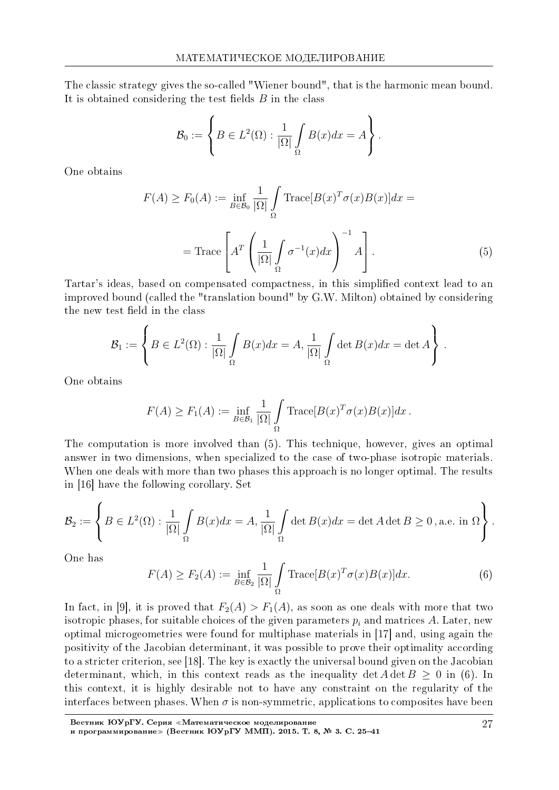The classic strategy gives the so-called "Wiener bound", that is the harmonic mean bound. It is obtained considering the test fields  $B$  in the class

$$
\mathcal{B}_0 := \left\{ B \in L^2(\Omega) : \frac{1}{|\Omega|} \int_{\Omega} B(x) dx = A \right\}.
$$

One obtains

$$
F(A) \ge F_0(A) := \inf_{B \in \mathcal{B}_0} \frac{1}{|\Omega|} \int_{\Omega} \text{Trace}[B(x)^T \sigma(x)B(x)] dx =
$$

$$
= \text{Trace}\left[ A^T \left( \frac{1}{|\Omega|} \int_{\Omega} \sigma^{-1}(x) dx \right)^{-1} A \right]. \tag{5}
$$

Tartar's ideas, based on compensated compactness, in this simplied context lead to an improved bound (called the "translation bound" by G.W. Milton) obtained by considering the new test field in the class

$$
\mathcal{B}_1 := \left\{ B \in L^2(\Omega) : \frac{1}{|\Omega|} \int_{\Omega} B(x) dx = A, \frac{1}{|\Omega|} \int_{\Omega} \det B(x) dx = \det A \right\}.
$$

One obtains

$$
F(A) \ge F_1(A) := \inf_{B \in \mathcal{B}_1} \frac{1}{|\Omega|} \int_{\Omega} \text{Trace}[B(x)^T \sigma(x) B(x)] dx.
$$

The computation is more involved than (5). This technique, however, gives an optimal answer in two dimensions, when specialized to the case of two-phase isotropic materials. When one deals with more than two phases this approach is no longer optimal. The results in [16] have the following corollary. Set

$$
\mathcal{B}_2 := \left\{ B \in L^2(\Omega) : \frac{1}{|\Omega|} \int_{\Omega} B(x) dx = A, \frac{1}{|\Omega|} \int_{\Omega} \det B(x) dx = \det A \det B \ge 0, \text{ a.e. in } \Omega \right\}.
$$

One has

$$
F(A) \ge F_2(A) := \inf_{B \in \mathcal{B}_2} \frac{1}{|\Omega|} \int_{\Omega} \text{Trace}[B(x)^T \sigma(x) B(x)] dx.
$$
 (6)

In fact, in [9], it is proved that  $F_2(A) > F_1(A)$ , as soon as one deals with more that two isotropic phases, for suitable choices of the given parameters  $p_i$  and matrices  $A$ . Later, new optimal microgeometries were found for multiphase materials in [17] and, using again the positivity of the Jacobian determinant, it was possible to prove their optimality according to a stricter criterion, see [18]. The key is exactly the universal bound given on the Jacobian determinant, which, in this context reads as the inequality det  $A \det B \ge 0$  in (6). In this context, it is highly desirable not to have any constraint on the regularity of the interfaces between phases. When  $\sigma$  is non-symmetric, applications to composites have been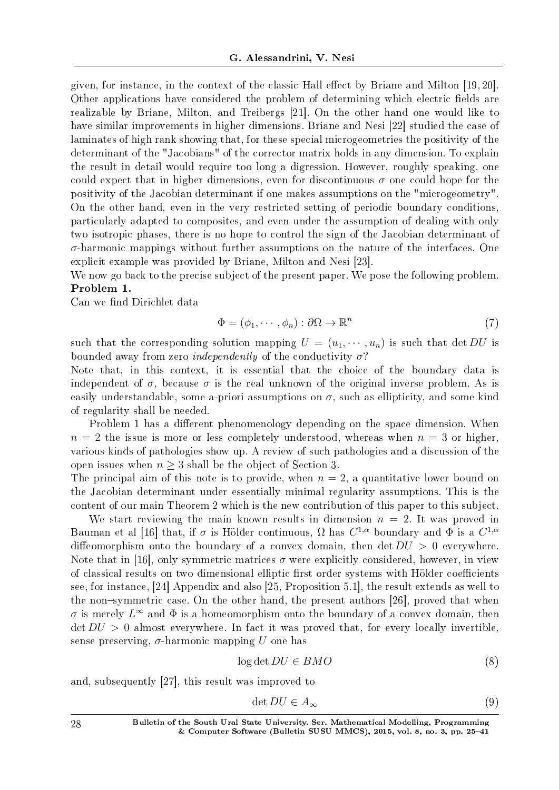given, for instance, in the context of the classic Hall effect by Briane and Milton  $[19, 20]$ . Other applications have considered the problem of determining which electric fields are realizable by Briane, Milton, and Treibergs [21]. On the other hand one would like to have similar improvements in higher dimensions. Briane and Nesi [22] studied the case of laminates of high rank showing that, for these special microgeometries the positivity of the determinant of the "Jacobians" of the corrector matrix holds in any dimension. To explain the result in detail would require too long a digression. However, roughly speaking, one could expect that in higher dimensions, even for discontinuous  $\sigma$  one could hope for the positivity of the Jacobian determinant if one makes assumptions on the "microgeometry". On the other hand, even in the very restricted setting of periodic boundary conditions, particularly adapted to composites, and even under the assumption of dealing with only two isotropic phases, there is no hope to control the sign of the Jacobian determinant of *σ*-harmonic mappings without further assumptions on the nature of the interfaces. One explicit example was provided by Briane, Milton and Nesi [23].

We now go back to the precise subject of the present paper. We pose the following problem. Problem 1.

Can we find Dirichlet data

$$
\Phi = (\phi_1, \cdots, \phi_n) : \partial \Omega \to \mathbb{R}^n \tag{7}
$$

such that the corresponding solution mapping  $U = (u_1, \dots, u_n)$  is such that det *DU* is bounded away from zero independently of the conductivity *σ*?

Note that, in this context, it is essential that the choice of the boundary data is independent of  $\sigma$ , because  $\sigma$  is the real unknown of the original inverse problem. As is easily understandable, some a-priori assumptions on  $\sigma$ , such as ellipticity, and some kind of regularity shall be needed.

Problem 1 has a different phenomenology depending on the space dimension. When  $n = 2$  the issue is more or less completely understood, whereas when  $n = 3$  or higher, various kinds of pathologies show up. A review of such pathologies and a discussion of the open issues when  $n \geq 3$  shall be the object of Section 3.

The principal aim of this note is to provide, when  $n = 2$ , a quantitative lower bound on the Jacobian determinant under essentially minimal regularity assumptions. This is the content of our main Theorem 2 which is the new contribution of this paper to this subject.

We start reviewing the main known results in dimension  $n = 2$ . It was proved in Bauman et al [16] that, if  $\sigma$  is Hölder continuous,  $\Omega$  has  $C^{1,\alpha}$  boundary and  $\Phi$  is a  $C^{1,\alpha}$ diffeomorphism onto the boundary of a convex domain, then det  $DU > 0$  everywhere. Note that in [16], only symmetric matrices  $\sigma$  were explicitly considered, however, in view of classical results on two dimensional elliptic first order systems with Hölder coefficients see, for instance, [24] Appendix and also [25, Proposition 5.1], the result extends as well to the non-symmetric case. On the other hand, the present authors  $[26]$ , proved that when  $\sigma$  is merely  $L^{\infty}$  and  $\Phi$  is a homeomorphism onto the boundary of a convex domain, then  $\det DU > 0$  almost everywhere. In fact it was proved that, for every locally invertible, sense preserving,  $\sigma$ -harmonic mapping *U* one has

$$
\log \det DU \in BMO \tag{8}
$$

and, subsequently [27], this result was improved to

$$
\det DU \in A_{\infty} \tag{9}
$$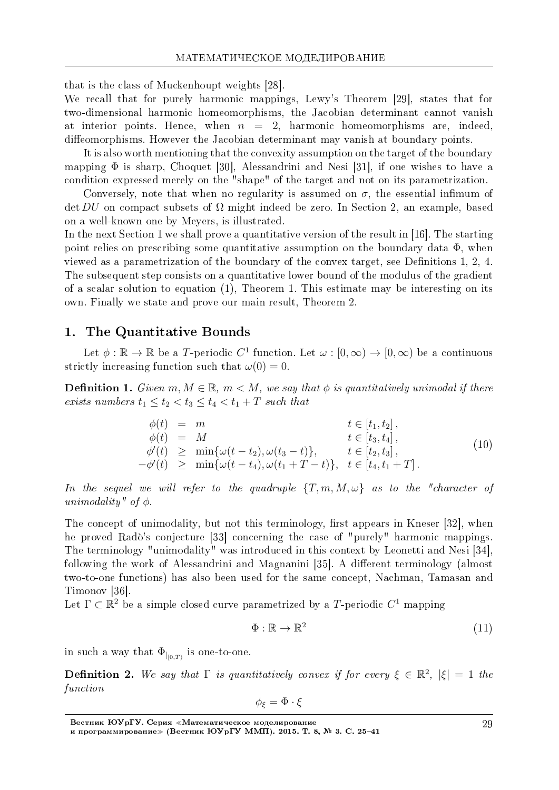that is the class of Muckenhoupt weights [28].

We recall that for purely harmonic mappings, Lewy's Theorem [29], states that for two-dimensional harmonic homeomorphisms, the Jacobian determinant cannot vanish at interior points. Hence, when  $n = 2$ , harmonic homeomorphisms are, indeed, diffeomorphisms. However the Jacobian determinant may vanish at boundary points.

It is also worth mentioning that the convexity assumption on the target of the boundary mapping  $\Phi$  is sharp, Choquet [30], Alessandrini and Nesi [31], if one wishes to have a condition expressed merely on the "shape" of the target and not on its parametrization.

Conversely, note that when no regularity is assumed on  $\sigma$ , the essential infimum of det *DU* on compact subsets of Ω might indeed be zero. In Section 2, an example, based on a well-known one by Meyers, is illustrated.

In the next Section 1 we shall prove a quantitative version of the result in [16]. The starting point relies on prescribing some quantitative assumption on the boundary data  $\Phi$ , when viewed as a parametrization of the boundary of the convex target, see Definitions 1, 2, 4. The subsequent step consists on a quantitative lower bound of the modulus of the gradient of a scalar solution to equation (1), Theorem 1. This estimate may be interesting on its own. Finally we state and prove our main result, Theorem 2.

#### 1. The Quantitative Bounds

Let  $\phi$  :  $\mathbb{R} \to \mathbb{R}$  be a *T*-periodic  $C^1$  function. Let  $\omega : [0, \infty) \to [0, \infty)$  be a continuous strictly increasing function such that  $\omega(0) = 0$ .

**Definition 1.** Given  $m, M \in \mathbb{R}$ ,  $m < M$ , we say that  $\phi$  is quantitatively unimodal if there exists numbers  $t_1 \leq t_2 < t_3 \leq t_4 < t_1 + T$  such that

$$
\begin{array}{rcl}\n\phi(t) & = & m & t \in [t_1, t_2], \\
\phi(t) & = & M & t \in [t_3, t_4], \\
\phi'(t) & \geq & \min\{\omega(t - t_2), \omega(t_3 - t)\}, & t \in [t_2, t_3], \\
-\phi'(t) & \geq & \min\{\omega(t - t_4), \omega(t_1 + T - t)\}, & t \in [t_4, t_1 + T].\n\end{array} \tag{10}
$$

In the sequel we will refer to the quadruple  ${T, m, M, \omega}$  as to the "character of unimodality" of *ϕ*.

The concept of unimodality, but not this terminology, first appears in Kneser [32], when he proved Rado's conjecture [33] concerning the case of "purely" harmonic mappings. The terminology "unimodality" was introduced in this context by Leonetti and Nesi [34], following the work of Alessandrini and Magnanini [35]. A different terminology (almost two-to-one functions) has also been used for the same concept, Nachman, Tamasan and Timonov [36].

Let  $\Gamma \subset \mathbb{R}^2$  be a simple closed curve parametrized by a *T*-periodic  $C^1$  mapping

$$
\Phi: \mathbb{R} \to \mathbb{R}^2 \tag{11}
$$

in such a way that  $\Phi_{|_{[0,T)}}$  is one-to-one.

**Definition 2.** We say that  $\Gamma$  is quantitatively convex if for every  $\xi \in \mathbb{R}^2$ ,  $|\xi| = 1$  the function

$$
\phi_{\xi} = \Phi \cdot \xi
$$

Вестник ЮУрГУ. Серия «Математическое моделирование и программирование≫ (Вестник ЮУрГУ ММП). 2015. T. 8, № 3. C. 25–41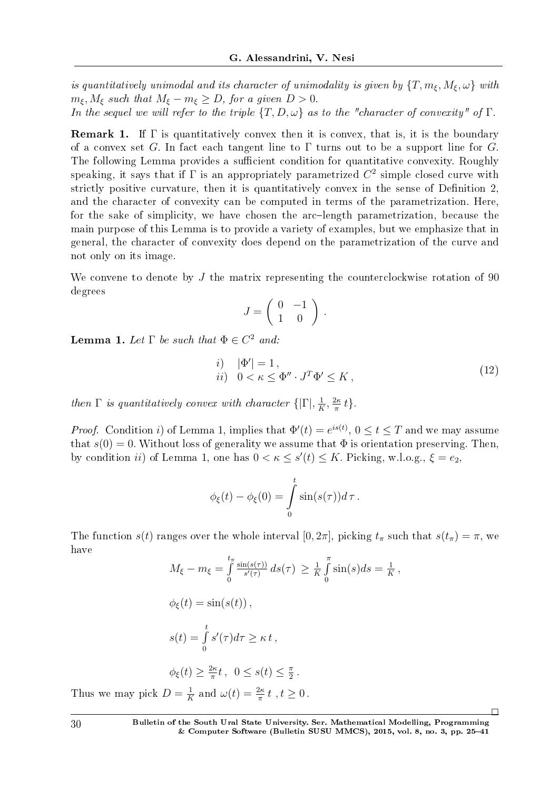is quantitatively unimodal and its character of unimodality is given by  $\{T, m_{\xi}, M_{\xi}, \omega\}$  with  $m_{\xi}$ ,  $M_{\xi}$  such that  $M_{\xi} - m_{\xi} \geq D$ , for a given  $D > 0$ .

In the sequel we will refer to the triple  $\{T, D, \omega\}$  as to the "character of convexity" of  $\Gamma$ .

**Remark 1.** If  $\Gamma$  is quantitatively convex then it is convex, that is, it is the boundary of a convex set *G*. In fact each tangent line to  $\Gamma$  turns out to be a support line for *G*. The following Lemma provides a sufficient condition for quantitative convexity. Roughly speaking, it says that if  $\Gamma$  is an appropriately parametrized  $C^2$  simple closed curve with strictly positive curvature, then it is quantitatively convex in the sense of Definition 2, and the character of convexity can be computed in terms of the parametrization. Here, for the sake of simplicity, we have chosen the arc-length parametrization, because the main purpose of this Lemma is to provide a variety of examples, but we emphasize that in general, the character of convexity does depend on the parametrization of the curve and not only on its image.

We convene to denote by *J* the matrix representing the counterclockwise rotation of 90 degrees

$$
J = \left(\begin{array}{cc} 0 & -1 \\ 1 & 0 \end{array}\right) \, .
$$

**Lemma 1.** Let  $\Gamma$  be such that  $\Phi \in C^2$  and:

$$
\begin{array}{ll}\ni, & |\Phi'| = 1, \\
ii, & 0 < \kappa \le \Phi'' \cdot J^T \Phi' \le K,\n\end{array} \tag{12}
$$

then  $\Gamma$  is quantitatively convex with character  $\{|\Gamma|,\frac{1}{k}\}$  $\frac{1}{K}$ <sup>2*κ*</sup> *π t}.*

*Proof.* Condition *i*) of Lemma 1, implies that  $\Phi'(t) = e^{is(t)}$ ,  $0 \le t \le T$  and we may assume that  $s(0) = 0$ . Without loss of generality we assume that  $\Phi$  is orientation preserving. Then, by condition *ii*) of Lemma 1, one has  $0 < \kappa \leq s'(t) \leq K$ . Picking, w.l.o.g.,  $\xi = e_2$ ,

$$
\phi_{\xi}(t) - \phi_{\xi}(0) = \int_{0}^{t} \sin(s(\tau))d\tau.
$$

The function *s*(*t*) ranges over the whole interval [0, 2*π*], picking  $t_{\pi}$  such that  $s(t_{\pi}) = \pi$ , we have

$$
M_{\xi} - m_{\xi} = \int_{0}^{t_{\pi}} \frac{\sin(s(\tau))}{s'(\tau)} ds(\tau) \geq \frac{1}{K} \int_{0}^{\pi} \sin(s) ds = \frac{1}{K},
$$
  
\n
$$
\phi_{\xi}(t) = \sin(s(t)),
$$
  
\n
$$
s(t) = \int_{0}^{t} s'(\tau) d\tau \geq \kappa t,
$$
  
\n
$$
\phi_{\xi}(t) \geq \frac{2\kappa}{\pi} t, \quad 0 \leq s(t) \leq \frac{\pi}{2}.
$$

Thus we may pick  $D = \frac{1}{K}$  $\frac{1}{K}$  and  $\omega(t) = \frac{2\kappa}{\pi} t$ ,  $t \geq 0$ .

 $\Box$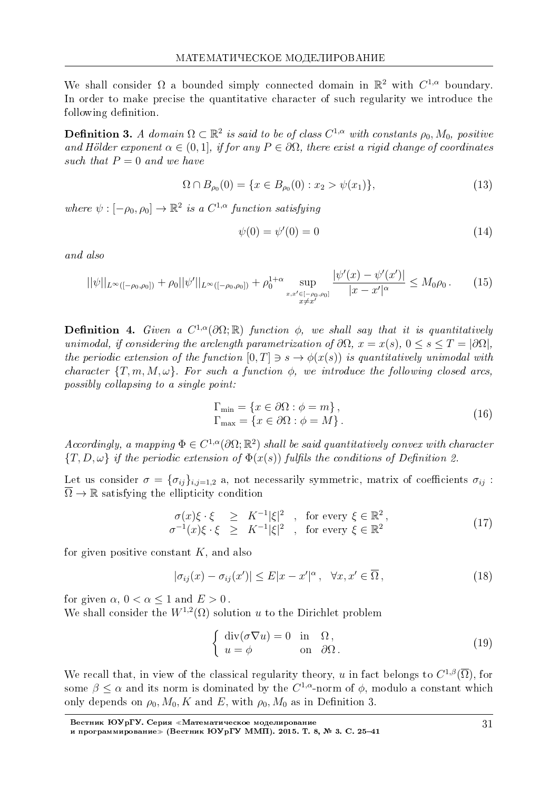We shall consider  $\Omega$  a bounded simply connected domain in  $\mathbb{R}^2$  with  $C^{1,\alpha}$  boundary. In order to make precise the quantitative character of such regularity we introduce the following definition.

**Definition 3.** A domain  $\Omega \subset \mathbb{R}^2$  is said to be of class  $C^{1,\alpha}$  with constants  $\rho_0$ ,  $M_0$ , positive and Hölder exponent  $\alpha \in (0,1]$ , if for any  $P \in \partial \Omega$ , there exist a rigid change of coordinates such that  $P = 0$  and we have

$$
\Omega \cap B_{\rho_0}(0) = \{ x \in B_{\rho_0}(0) : x_2 > \psi(x_1) \},\tag{13}
$$

where  $\psi : [-\rho_0, \rho_0] \to \mathbb{R}^2$  is a  $C^{1,\alpha}$  function satisfying

$$
\psi(0) = \psi'(0) = 0 \tag{14}
$$

and also

$$
||\psi||_{L^{\infty}([-\rho_{0},\rho_{0}])} + \rho_{0}||\psi'||_{L^{\infty}([-\rho_{0},\rho_{0}])} + \rho_{0}^{1+\alpha} \sup_{\substack{x,x' \in [-\rho_{0},\rho_{0}] \\ x \neq x'}} \frac{|\psi'(x) - \psi'(x')|}{|x - x'|^{\alpha}} \leq M_{0}\rho_{0}.
$$
 (15)

**Definition 4.** Given a  $C^{1,\alpha}(\partial\Omega;\mathbb{R})$  function  $\phi$ , we shall say that it is quantitatively unimodal, if considering the arclength parametrization of  $\partial\Omega$ ,  $x = x(s)$ ,  $0 \le s \le T = |\partial\Omega|$ . the periodic extension of the function  $[0, T] \ni s \rightarrow \phi(x(s))$  is quantitatively unimodal with character  ${T, m, M, \omega}$ . For such a function  $\phi$ , we introduce the following closed arcs, possibly collapsing to a single point:

$$
\Gamma_{\min} = \{ x \in \partial \Omega : \phi = m \},\
$$
  
\n
$$
\Gamma_{\max} = \{ x \in \partial \Omega : \phi = M \}.
$$
\n(16)

Accordingly, a mapping  $\Phi \in C^{1,\alpha}(\partial\Omega;\mathbb{R}^2)$  shall be said quantitatively convex with character  $\{T, D, \omega\}$  if the periodic extension of  $\Phi(x(s))$  fulfils the conditions of Definition 2.

Let us consider  $\sigma = {\sigma_{ij}}_{i,j=1,2}$  a, not necessarily symmetric, matrix of coefficients  $\sigma_{ij}$ :  $\overline{\Omega} \to \mathbb{R}$  satisfying the ellipticity condition

$$
\begin{array}{rcl}\n\sigma(x)\xi \cdot \xi & \geq & K^{-1}|\xi|^2, \quad \text{for every } \xi \in \mathbb{R}^2, \\
\sigma^{-1}(x)\xi \cdot \xi & \geq & K^{-1}|\xi|^2, \quad \text{for every } \xi \in \mathbb{R}^2\n\end{array} \tag{17}
$$

for given positive constant *K*, and also

$$
|\sigma_{ij}(x) - \sigma_{ij}(x')| \le E|x - x'|^{\alpha}, \quad \forall x, x' \in \overline{\Omega},
$$
\n(18)

for given  $\alpha$ ,  $0 < \alpha \leq 1$  and  $E > 0$ .

We shall consider the  $W^{1,2}(\Omega)$  solution *u* to the Dirichlet problem

$$
\begin{cases} \operatorname{div}(\sigma \nabla u) = 0 & \text{in } \Omega, \\ u = \phi & \text{on } \partial \Omega. \end{cases}
$$
 (19)

We recall that, in view of the classical regularity theory, *u* in fact belongs to  $C^{1,\beta}(\overline{\Omega})$ , for some  $\beta \leq \alpha$  and its norm is dominated by the  $C^{1,\alpha}$ -norm of  $\phi$ , modulo a constant which only depends on  $\rho_0$ ,  $M_0$ , K and E, with  $\rho_0$ ,  $M_0$  as in Definition 3.

Вестник ЮУрГУ. Серия «Математическое моделирование и программирование≫ (Вестник ЮУрГУ ММП). 2015. T. 8, № 3. C. 25–41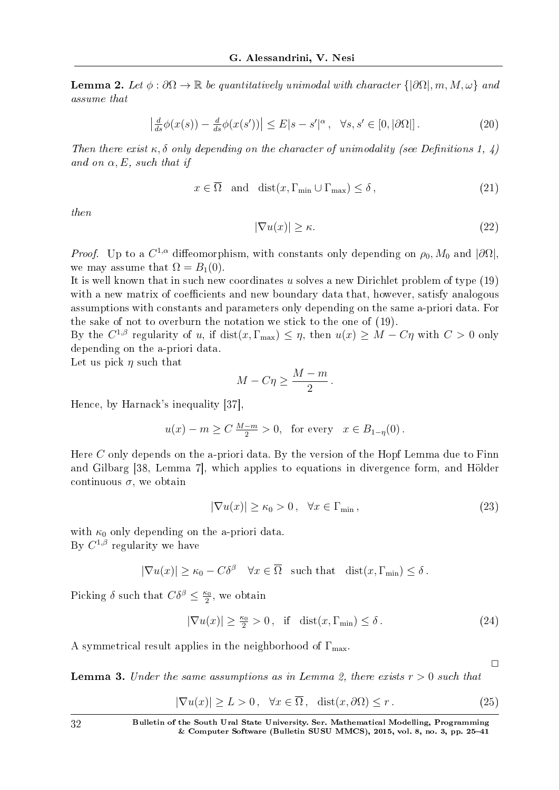Lemma 2. Let  $\phi : \partial\Omega \to \mathbb{R}$  be quantitatively unimodal with character  $\{|\partial\Omega|, m, M, \omega\}$  and assume that

$$
\left| \frac{d}{ds} \phi(x(s)) - \frac{d}{ds} \phi(x(s')) \right| \le E|s - s'|^{\alpha}, \quad \forall s, s' \in [0, |\partial \Omega|]. \tag{20}
$$

Then there exist  $\kappa$ ,  $\delta$  only depending on the character of unimodality (see Definitions 1, 4) and on  $\alpha$ , E, such that if

$$
x \in \overline{\Omega} \quad \text{and} \quad \text{dist}(x, \Gamma_{\min} \cup \Gamma_{\max}) \le \delta \,, \tag{21}
$$

then

$$
|\nabla u(x)| \ge \kappa. \tag{22}
$$

*Proof.* Up to a  $C^{1,\alpha}$  diffeomorphism, with constants only depending on  $\rho_0$ ,  $M_0$  and  $|\partial\Omega|$ , we may assume that  $\Omega = B_1(0)$ .

It is well known that in such new coordinates *u* solves a new Dirichlet problem of type (19) with a new matrix of coefficients and new boundary data that, however, satisfy analogous assumptions with constants and parameters only depending on the same a-priori data. For the sake of not to overburn the notation we stick to the one of (19).

By the  $C^{1,\beta}$  regularity of *u*, if  $dist(x,\Gamma_{\max}) \leq \eta$ , then  $u(x) \geq M - C\eta$  with  $C > 0$  only depending on the a-priori data.

Let us pick *η* such that

$$
M - C\eta \ge \frac{M-m}{2}.
$$

Hence, by Harnack's inequality [37],

$$
u(x) - m \ge C \frac{M-m}{2} > 0
$$
, for every  $x \in B_{1-\eta}(0)$ .

Here *C* only depends on the a-priori data. By the version of the Hopf Lemma due to Finn and Gilbarg [38, Lemma 7], which applies to equations in divergence form, and Holder continuous  $\sigma$ , we obtain

$$
|\nabla u(x)| \ge \kappa_0 > 0, \quad \forall x \in \Gamma_{\min}, \tag{23}
$$

with  $\kappa_0$  only depending on the a-priori data. By  $C^{1,\beta}$  regularity we have

$$
|\nabla u(x)| \ge \kappa_0 - C\delta^{\beta} \quad \forall x \in \overline{\Omega} \quad \text{such that} \quad \text{dist}(x, \Gamma_{\min}) \le \delta.
$$

Picking  $\delta$  such that  $C\delta^{\beta} \leq \frac{\kappa_0}{2}$  $\frac{\varepsilon_0}{2}$ , we obtain

$$
|\nabla u(x)| \ge \frac{\kappa_0}{2} > 0, \quad \text{if} \quad \text{dist}(x, \Gamma_{\min}) \le \delta. \tag{24}
$$

A symmetrical result applies in the neighborhood of  $\Gamma_{\text{max}}$ .

 $\Box$ 

**Lemma 3.** Under the same assumptions as in Lemma 2, there exists  $r > 0$  such that

$$
|\nabla u(x)| \ge L > 0, \quad \forall x \in \overline{\Omega}, \quad \text{dist}(x, \partial \Omega) \le r. \tag{25}
$$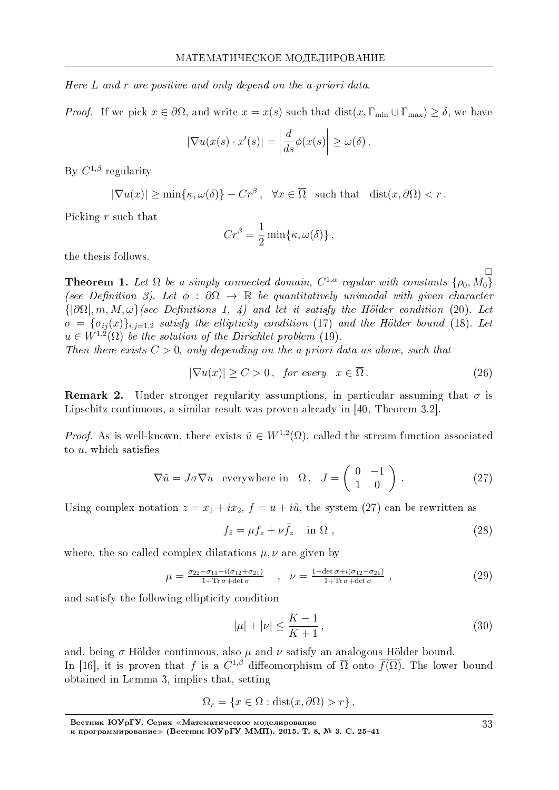Here *L* and *r* are positive and only depend on the a-priori data.

*Proof.* If we pick  $x \in \partial\Omega$ , and write  $x = x(s)$  such that  $dist(x, \Gamma_{\min} \cup \Gamma_{\max}) \ge \delta$ , we have

$$
|\nabla u(x(s) \cdot x'(s)| = \left| \frac{d}{ds} \phi(x(s) \right| \ge \omega(\delta).
$$

By *C* <sup>1</sup>*,β* regularity

$$
|\nabla u(x)| \ge \min\{\kappa, \omega(\delta)\} - Cr^{\beta}, \quad \forall x \in \overline{\Omega} \quad \text{such that} \quad \text{dist}(x, \partial \Omega) < r \,.
$$

Picking *r* such that

$$
Cr^{\beta} = \frac{1}{2} \min{\kappa, \omega(\delta)},
$$

the thesis follows.

**Theorem 1.** Let  $\Omega$  be a simply connected domain,  $C^{1,\alpha}$ -regular with constants  $\{\rho_0, M_0\}$ (see Definition 3). Let  $\phi : \partial\Omega \to \mathbb{R}$  be quantitatively unimodal with given character  $\{\vert \partial \Omega \vert, m, M, \omega\}$  (see Definitions 1, 4) and let it satisfy the Hölder condition (20). Let  $\sigma = {\sigma_{ij}(x)}_{i,j=1,2}$  satisfy the ellipticity condition (17) and the Hölder bound (18). Let  $u \in W^{1,2}(\Omega)$  be the solution of the Dirichlet problem (19).

Then there exists  $C > 0$ , only depending on the a-priori data as above, such that

$$
|\nabla u(x)| \ge C > 0, \quad \text{for every} \quad x \in \overline{\Omega} \,. \tag{26}
$$

**Remark 2.** Under stronger regularity assumptions, in particular assuming that  $\sigma$  is Lipschitz continuous, a similar result was proven already in [40, Theorem 3.2].

*Proof.* As is well-known, there exists  $\tilde{u} \in W^{1,2}(\Omega)$ , called the stream function associated to  $u$ , which satisfies

$$
\nabla \tilde{u} = J\sigma \nabla u \quad \text{everywhere in} \quad \Omega \,, \quad J = \left( \begin{array}{cc} 0 & -1 \\ 1 & 0 \end{array} \right) \,. \tag{27}
$$

Using complex notation  $z = x_1 + ix_2$ ,  $f = u + i\tilde{u}$ , the system (27) can be rewritten as

$$
f_{\bar{z}} = \mu f_z + \nu \bar{f}_z \quad \text{in } \Omega , \tag{28}
$$

where, the so called complex dilatations *µ, ν* are given by

$$
\mu = \frac{\sigma_{22} - \sigma_{11} - i(\sigma_{12} + \sigma_{21})}{1 + \text{Tr}\,\sigma + \det\sigma} \quad , \quad \nu = \frac{1 - \det\sigma + i(\sigma_{12} - \sigma_{21})}{1 + \text{Tr}\,\sigma + \det\sigma} \quad , \tag{29}
$$

and satisfy the following ellipticity condition

$$
|\mu| + |\nu| \le \frac{K - 1}{K + 1},\tag{30}
$$

and, being  $\sigma$  Hölder continuous, also  $\mu$  and  $\nu$  satisfy an analogous Hölder bound. In [16], it is proven that *f* is a  $C^{1,\beta}$  diffeomorphism of  $\overline{\Omega}$  onto  $\overline{f(\Omega)}$ . The lower bound obtained in Lemma 3, implies that, setting

$$
\Omega_r = \{x \in \Omega : \text{dist}(x, \partial \Omega) > r\},\
$$

 $\Box$ 

Вестник ЮУрГУ. Серия «Математическое моделирование

и программирование≫ (Вестник ЮУрГУ ММП). 2015. T. 8, № 3. C. 25–41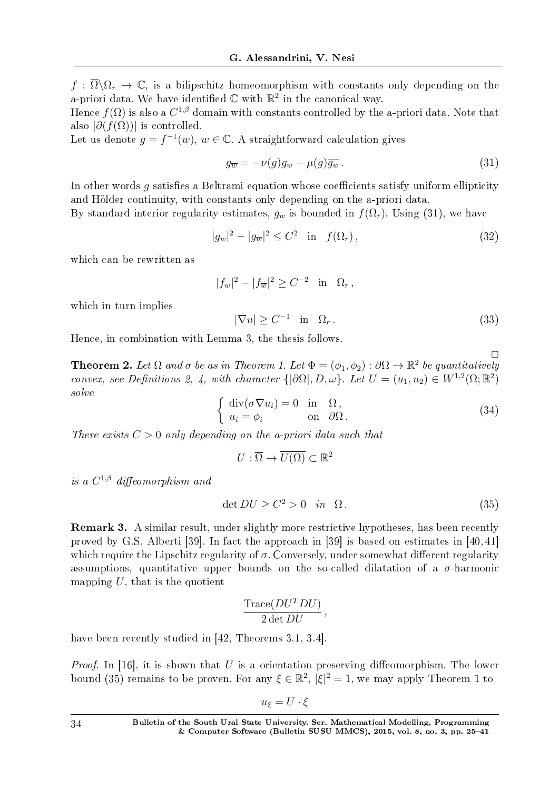$f : \overline{\Omega} \backslash \Omega_r \to \mathbb{C}$ , is a bilipschitz homeomorphism with constants only depending on the a-priori data. We have identified  $\mathbb C$  with  $\mathbb R^2$  in the canonical way.

Hence  $f(\Omega)$  is also a  $C^{1,\beta}$  domain with constants controlled by the a-priori data. Note that also  $|\partial(f(\Omega))|$  is controlled.

Let us denote  $g = f^{-1}(w)$ ,  $w \in \mathbb{C}$ . A straightforward calculation gives

$$
g_{\overline{w}} = -\nu(g)g_w - \mu(g)\overline{g_w}.
$$
\n(31)

In other words *q* satisfies a Beltrami equation whose coefficients satisfy uniform ellipticity and Hölder continuity, with constants only depending on the a-priori data.

By standard interior regularity estimates,  $g_w$  is bounded in  $f(\Omega_r)$ . Using (31), we have

$$
|g_w|^2 - |g_{\overline{w}}|^2 \le C^2 \quad \text{in} \quad f(\Omega_r), \tag{32}
$$

which can be rewritten as

$$
|f_w|^2 - |f_{\overline{w}}|^2 \ge C^{-2}
$$
 in  $\Omega_r$ ,

which in turn implies

$$
|\nabla u| \ge C^{-1} \quad \text{in} \quad \Omega_r \,. \tag{33}
$$

 $\Box$ 

Hence, in combination with Lemma 3, the thesis follows.

**Theorem 2.** Let  $\Omega$  and  $\sigma$  be as in Theorem 1. Let  $\Phi = (\phi_1, \phi_2) : \partial \Omega \to \mathbb{R}^2$  be quantitatively convex, see Definitions 2, 4, with character  $\{|\partial\Omega|, D, \omega\}$ . Let  $U = (u_1, u_2) \in W^{1,2}(\Omega; \mathbb{R}^2)$ solve

$$
\begin{cases} \operatorname{div}(\sigma \nabla u_i) = 0 & \text{in } \Omega, \\ u_i = \phi_i & \text{on } \partial \Omega. \end{cases}
$$
 (34)

There exists  $C > 0$  only depending on the a-priori data such that

$$
U: \overline{\Omega} \to \overline{U(\Omega)} \subset \mathbb{R}^2
$$

is a  $C^{1,\beta}$  diffeomorphism and

$$
\det DU \ge C^2 > 0 \quad \text{in} \quad \overline{\Omega} \,. \tag{35}
$$

Remark 3. A similar result, under slightly more restrictive hypotheses, has been recently proved by G.S. Alberti [39]. In fact the approach in [39] is based on estimates in [40, 41] which require the Lipschitz regularity of  $\sigma$ . Conversely, under somewhat different regularity assumptions, quantitative upper bounds on the so-called dilatation of a  $\sigma$ -harmonic mapping  $U$ , that is the quotient

$$
\frac{\text{Trace}(DU^TDU)}{2 \det DU},
$$

have been recently studied in [42, Theorems 3.1, 3.4].

*Proof.* In [16], it is shown that  $U$  is a orientation preserving diffeomorphism. The lower bound (35) remains to be proven. For any  $\xi \in \mathbb{R}^2$ ,  $|\xi|^2 = 1$ , we may apply Theorem 1 to

 $u_{\xi} = U \cdot \xi$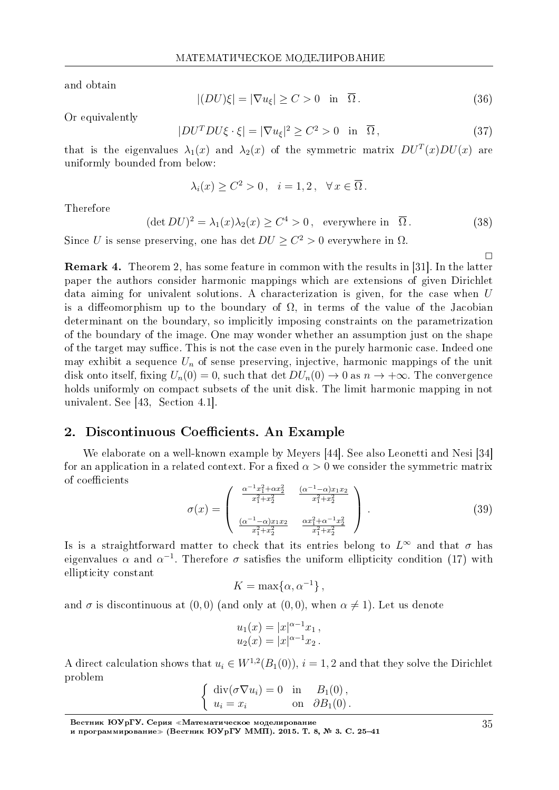and obtain

$$
|(DU)\xi| = |\nabla u_{\xi}| \ge C > 0 \quad \text{in} \quad \overline{\Omega} \,. \tag{36}
$$

Or equivalently

$$
|DU^TDU\xi \cdot \xi| = |\nabla u_{\xi}|^2 \ge C^2 > 0 \quad \text{in} \quad \overline{\Omega},\tag{37}
$$

that is the eigenvalues  $\lambda_1(x)$  and  $\lambda_2(x)$  of the symmetric matrix  $DU^T(x)DU(x)$  are uniformly bounded from below:

$$
\lambda_i(x) \ge C^2 > 0 \,, \quad i = 1, 2 \,, \quad \forall x \in \overline{\Omega} \,.
$$

Therefore

 $(\det DU)^2 = \lambda_1(x)\lambda_2(x) \ge C^4 > 0$ , everywhere in  $\overline{\Omega}$ . (38)

Since *U* is sense preserving, one has det  $DU \geq C^2 > 0$  everywhere in  $\Omega$ .

Remark 4. Theorem 2, has some feature in common with the results in [31]. In the latter paper the authors consider harmonic mappings which are extensions of given Dirichlet data aiming for univalent solutions. A characterization is given, for the case when *U* is a diffeomorphism up to the boundary of  $\Omega$ , in terms of the value of the Jacobian determinant on the boundary, so implicitly imposing constraints on the parametrization of the boundary of the image. One may wonder whether an assumption just on the shape of the target may suffice. This is not the case even in the purely harmonic case. Indeed one may exhibit a sequence  $U_n$  of sense preserving, injective, harmonic mappings of the unit disk onto itself, fixing  $U_n(0) = 0$ , such that det  $DU_n(0) \to 0$  as  $n \to +\infty$ . The convergence holds uniformly on compact subsets of the unit disk. The limit harmonic mapping in not univalent. See [43, Section 4.1].

#### 2. Discontinuous Coefficients. An Example

We elaborate on a well-known example by Meyers [44]. See also Leonetti and Nesi [34] for an application in a related context. For a fixed  $\alpha > 0$  we consider the symmetric matrix of coefficients

$$
\sigma(x) = \begin{pmatrix} \frac{\alpha^{-1}x_1^2 + \alpha x_2^2}{x_1^2 + x_2^2} & \frac{(\alpha^{-1} - \alpha)x_1x_2}{x_1^2 + x_2^2} \\ \frac{(\alpha^{-1} - \alpha)x_1x_2}{x_1^2 + x_2^2} & \frac{\alpha x_1^2 + \alpha^{-1}x_2^2}{x_1^2 + x_2^2} \end{pmatrix} .
$$
 (39)

Is is a straightforward matter to check that its entries belong to  $L^{\infty}$  and that  $\sigma$  has eigenvalues  $\alpha$  and  $\alpha^{-1}$ . Therefore  $\sigma$  satisfies the uniform ellipticity condition (17) with ellipticity constant

 $K = \max\{\alpha, \alpha^{-1}\},$ 

and  $\sigma$  is discontinuous at (0,0) (and only at (0,0), when  $\alpha \neq 1$ ). Let us denote

$$
u_1(x) = |x|^{\alpha - 1} x_1,
$$
  

$$
u_2(x) = |x|^{\alpha - 1} x_2.
$$

A direct calculation shows that  $u_i \in W^{1,2}(B_1(0)), i = 1, 2$  and that they solve the Dirichlet problem

$$
\begin{cases} \operatorname{div}(\sigma \nabla u_i) = 0 & \text{in} \quad B_1(0), \\ u_i = x_i & \text{on} \quad \partial B_1(0). \end{cases}
$$

 $\Box$ 

Вестник ЮУрГУ. Серия «Математическое моделирование

и программирование≫ (Вестник ЮУрГУ ММП). 2015. T. 8, № 3. C. 25–41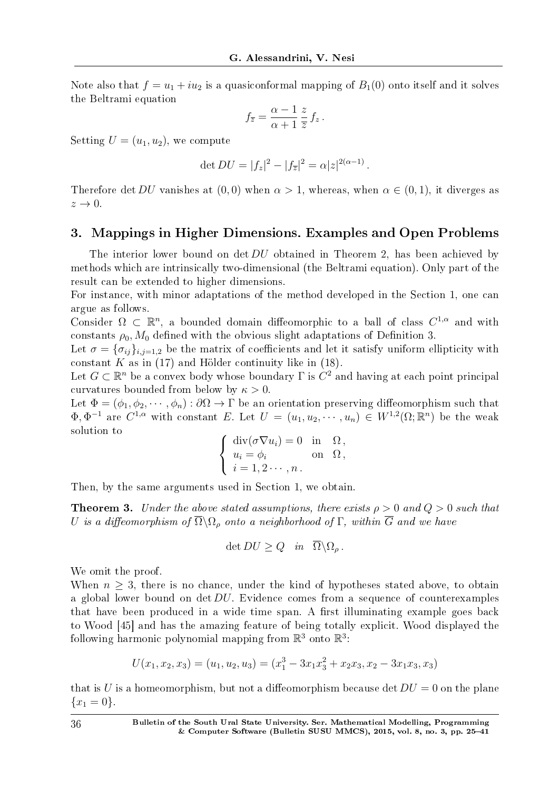Note also that  $f = u_1 + i u_2$  is a quasiconformal mapping of  $B_1(0)$  onto itself and it solves the Beltrami equation

$$
f_{\overline{z}} = \frac{\alpha - 1}{\alpha + 1} \frac{z}{\overline{z}} f_z.
$$

Setting  $U = (u_1, u_2)$ , we compute

$$
\det DU = |f_z|^2 - |f_{\overline{z}}|^2 = \alpha |z|^{2(\alpha - 1)}.
$$

Therefore det *DU* vanishes at  $(0,0)$  when  $\alpha > 1$ , whereas, when  $\alpha \in (0,1)$ , it diverges as  $z \rightarrow 0$ .

### 3. Mappings in Higher Dimensions. Examples and Open Problems

The interior lower bound on det *DU* obtained in Theorem 2, has been achieved by methods which are intrinsically two-dimensional (the Beltrami equation). Only part of the result can be extended to higher dimensions.

For instance, with minor adaptations of the method developed in the Section 1, one can argue as follows.

Consider  $\Omega \subset \mathbb{R}^n$ , a bounded domain diffeomorphic to a ball of class  $C^{1,\alpha}$  and with constants  $\rho_0$ ,  $M_0$  defined with the obvious slight adaptations of Definition 3.

Let  $\sigma = {\sigma_{ij}}_{i,j=1,2}$  be the matrix of coefficients and let it satisfy uniform ellipticity with constant  $K$  as in (17) and Hölder continuity like in (18).

Let  $G \subset \mathbb{R}^n$  be a convex body whose boundary  $\Gamma$  is  $C^2$  and having at each point principal curvatures bounded from below by *κ >* 0.

Let  $\Phi = (\phi_1, \phi_2, \cdots, \phi_n) : \partial \Omega \to \Gamma$  be an orientation preserving diffeomorphism such that  $\Phi, \Phi^{-1}$  are  $C^{1,\alpha}$  with constant *E*. Let  $U = (u_1, u_2, \cdots, u_n) \in W^{1,2}(\Omega; \mathbb{R}^n)$  be the weak solution to

$$
\begin{cases} \operatorname{div}(\sigma \nabla u_i) = 0 & \text{in } \Omega, \\ u_i = \phi_i & \text{on } \Omega, \\ i = 1, 2 \cdots, n. \end{cases}
$$

Then, by the same arguments used in Section 1, we obtain.

**Theorem 3.** Under the above stated assumptions, there exists  $\rho > 0$  and  $Q > 0$  such that *U* is a diffeomorphism of  $\overline{\Omega}\backslash\Omega$ <sub>*ρ*</sub> onto a neighborhood of Γ, within  $\overline{G}$  and we have

$$
\det DU \ge Q \quad in \quad \overline{\Omega} \backslash \Omega_{\rho} \, .
$$

We omit the proof.

When  $n \geq 3$ , there is no chance, under the kind of hypotheses stated above, to obtain a global lower bound on det *DU*. Evidence comes from a sequence of counterexamples that have been produced in a wide time span. A first illuminating example goes back to Wood [45] and has the amazing feature of being totally explicit. Wood displayed the following harmonic polynomial mapping from  $\mathbb{R}^3$  onto  $\mathbb{R}^3$ :

$$
U(x_1, x_2, x_3) = (u_1, u_2, u_3) = (x_1^3 - 3x_1x_3^2 + x_2x_3, x_2 - 3x_1x_3, x_3)
$$

that is *U* is a homeomorphism, but not a diffeomorphism because det  $DU = 0$  on the plane  ${x_1 = 0}.$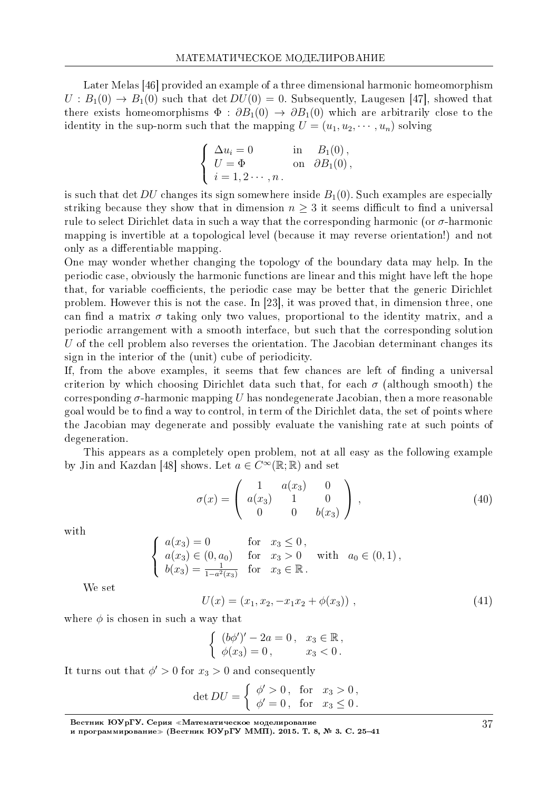Later Melas [46] provided an example of a three dimensional harmonic homeomorphism  $U: B_1(0) \to B_1(0)$  such that det  $DU(0) = 0$ . Subsequently, Laugesen [47], showed that there exists homeomorphisms  $\Phi : \partial B_1(0) \to \partial B_1(0)$  which are arbitrarily close to the identity in the sup-norm such that the mapping  $U = (u_1, u_2, \dots, u_n)$  solving

$$
\begin{cases}\n\Delta u_i = 0 & \text{in} \quad B_1(0), \\
U = \Phi & \text{on} \quad \partial B_1(0), \\
i = 1, 2 \cdots, n.\n\end{cases}
$$

is such that det  $DU$  changes its sign somewhere inside  $B_1(0)$ . Such examples are especially striking because they show that in dimension  $n \geq 3$  it seems difficult to find a universal rule to select Dirichlet data in such a way that the corresponding harmonic (or  $\sigma$ -harmonic mapping is invertible at a topological level (because it may reverse orientation!) and not only as a differentiable mapping.

One may wonder whether changing the topology of the boundary data may help. In the periodic case, obviously the harmonic functions are linear and this might have left the hope that, for variable coefficients, the periodic case may be better that the generic Dirichlet problem. However this is not the case. In [23], it was proved that, in dimension three, one can find a matrix  $\sigma$  taking only two values, proportional to the identity matrix, and a periodic arrangement with a smooth interface, but such that the corresponding solution *U* of the cell problem also reverses the orientation. The Jacobian determinant changes its sign in the interior of the (unit) cube of periodicity.

If, from the above examples, it seems that few chances are left of finding a universal criterion by which choosing Dirichlet data such that, for each  $\sigma$  (although smooth) the corresponding  $\sigma$ -harmonic mapping *U* has nondegenerate Jacobian, then a more reasonable goal would be to find a way to control, in term of the Dirichlet data, the set of points where the Jacobian may degenerate and possibly evaluate the vanishing rate at such points of degeneration.

This appears as a completely open problem, not at all easy as the following example by Jin and Kazdan [48] shows. Let  $a \in C^{\infty}(\mathbb{R}; \mathbb{R})$  and set

$$
\sigma(x) = \begin{pmatrix} 1 & a(x_3) & 0 \\ a(x_3) & 1 & 0 \\ 0 & 0 & b(x_3) \end{pmatrix}, \tag{40}
$$

with

$$
\begin{cases}\n a(x_3) = 0 & \text{for } x_3 \le 0, \\
 a(x_3) \in (0, a_0) & \text{for } x_3 > 0 \text{ with } a_0 \in (0, 1), \\
 b(x_3) = \frac{1}{1 - a^2(x_3)} & \text{for } x_3 \in \mathbb{R}.\n\end{cases}
$$

We set

$$
U(x) = (x_1, x_2, -x_1x_2 + \phi(x_3)), \qquad (41)
$$

where  $\phi$  is chosen in such a way that

$$
\begin{cases} (b\phi')' - 2a = 0, & x_3 \in \mathbb{R}, \\ \phi(x_3) = 0, & x_3 < 0. \end{cases}
$$

It turns out that  $\phi' > 0$  for  $x_3 > 0$  and consequently

$$
\det DU = \begin{cases} \phi' > 0, & \text{for } x_3 > 0, \\ \phi' = 0, & \text{for } x_3 \le 0. \end{cases}
$$

Вестник ЮУрГУ. Серия «Математическое моделирование

и программирование≫ (Вестник ЮУрГУ ММП). 2015. T. 8, № 3. C. 25–41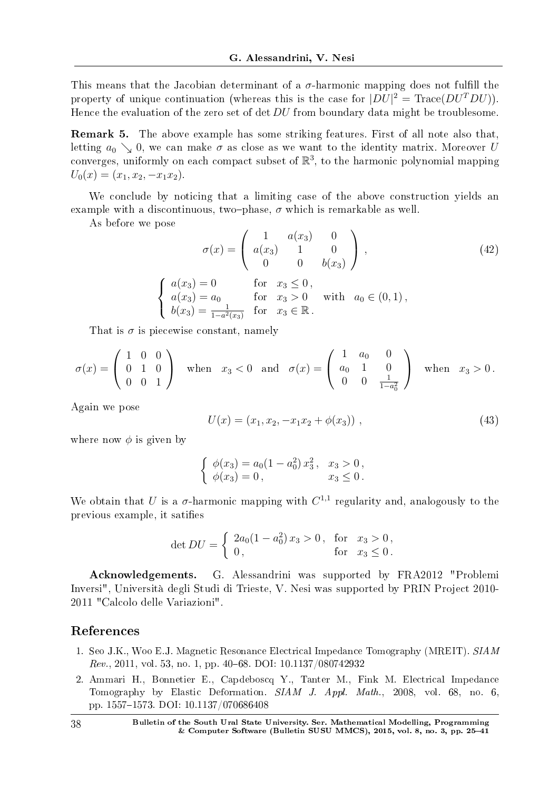This means that the Jacobian determinant of a  $\sigma$ -harmonic mapping does not fulfill the property of unique continuation (whereas this is the case for  $|DU|^2 = \text{Trace}(DU^TDU)$ ). Hence the evaluation of the zero set of det *DU* from boundary data might be troublesome.

Remark 5. The above example has some striking features. First of all note also that, letting  $a_0 \searrow 0$ , we can make  $\sigma$  as close as we want to the identity matrix. Moreover *U* converges, uniformly on each compact subset of  $\mathbb{R}^3$ , to the harmonic polynomial mapping  $U_0(x) = (x_1, x_2, -x_1x_2).$ 

We conclude by noticing that a limiting case of the above construction yields an example with a discontinuous, two-phase,  $\sigma$  which is remarkable as well.

As before we pose

$$
\sigma(x) = \begin{pmatrix} 1 & a(x_3) & 0 \\ a(x_3) & 1 & 0 \\ 0 & 0 & b(x_3) \end{pmatrix},
$$
\n(42)

$$
\begin{cases}\n a(x_3) = 0 & \text{for } x_3 \le 0, \\
 a(x_3) = a_0 & \text{for } x_3 > 0 \text{ with } a_0 \in (0,1), \\
 b(x_3) = \frac{1}{1 - a^2(x_3)} & \text{for } x_3 \in \mathbb{R}.\n\end{cases}
$$

That is  $\sigma$  is piecewise constant, namely

$$
\sigma(x) = \begin{pmatrix} 1 & 0 & 0 \\ 0 & 1 & 0 \\ 0 & 0 & 1 \end{pmatrix} \text{ when } x_3 < 0 \text{ and } \sigma(x) = \begin{pmatrix} 1 & a_0 & 0 \\ a_0 & 1 & 0 \\ 0 & 0 & \frac{1}{1 - a_0^2} \end{pmatrix} \text{ when } x_3 > 0.
$$

Again we pose

$$
U(x) = (x_1, x_2, -x_1x_2 + \phi(x_3)), \qquad (43)
$$

where now  $\phi$  is given by

$$
\begin{cases} \phi(x_3) = a_0(1 - a_0^2) x_3^2, & x_3 > 0, \\ \phi(x_3) = 0, & x_3 \le 0. \end{cases}
$$

We obtain that *U* is a  $\sigma$ -harmonic mapping with  $C^{1,1}$  regularity and, analogously to the previous example, it saties

$$
\det DU = \begin{cases} 2a_0(1 - a_0^2) x_3 > 0, & \text{for } x_3 > 0, \\ 0, & \text{for } x_3 \le 0. \end{cases}
$$

Acknowledgements. G. Alessandrini was supported by FRA2012 "Problemi Inversi", Universita degli Studi di Trieste, V. Nesi was supported by PRIN Project 2010- 2011 "Calcolo delle Variazioni".

### References

- 1. Seo J.K., Woo E.J. Magnetic Resonance Electrical Impedance Tomography (MREIT). SIAM  $Rev., 2011, vol. 53, no. 1, pp. 40–68. DOI: 10.1137/080742932$
- 2. Ammari H., Bonnetier E., Capdeboscq Y., Tanter M., Fink M. Electrical Impedance Tomography by Elastic Deformation. SIAM J. Appl. Math., 2008, vol. 68, no. 6, pp. 15571573. DOI: 10.1137/070686408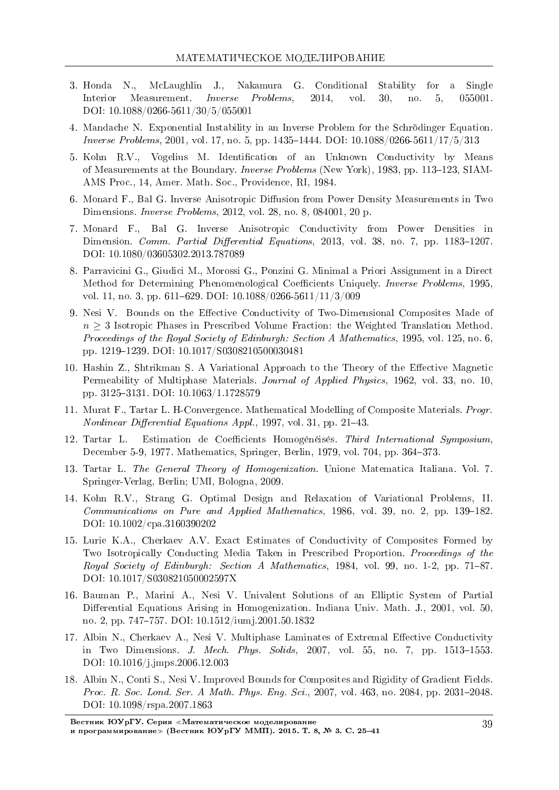- 3. Honda N., McLaughlin J., Nakamura G. Conditional Stability for a Single Interior Measurement. Inverse Problems, 2014, vol. 30, no. 5, 055001. DOI: 10.1088/0266-5611/30/5/055001
- 4. Mandache N. Exponential Instability in an Inverse Problem for the Schrodinger Equation. *Inverse Problems*, 2001, vol. 17, no. 5, pp. 1435-1444. DOI:  $10.1088/0266-5611/17/5/313$
- 5. Kohn R.V., Vogelius M. Identification of an Unknown Conductivity by Means of Measurements at the Boundary. *Inverse Problems* (New York), 1983, pp. 113–123, SIAM-AMS Proc., 14, Amer. Math. Soc., Providence, RI, 1984.
- 6. Monard F., Bal G. Inverse Anisotropic Diffusion from Power Density Measurements in Two Dimensions. Inverse Problems, 2012, vol. 28, no. 8, 084001, 20 p.
- 7. Monard F., Bal G. Inverse Anisotropic Conductivity from Power Densities in Dimension. Comm. Partial Differential Equations, 2013, vol. 38, no. 7, pp. 1183-1207. DOI: 10.1080/03605302.2013.787089
- 8. Parravicini G., Giudici M., Morossi G., Ponzini G. Minimal a Priori Assignment in a Direct Method for Determining Phenomenological Coefficients Uniquely. *Inverse Problems*, 1995, vol. 11, no. 3, pp. 611–629. DOI:  $10.1088/0266-5611/11/3/009$
- 9. Nesi V. Bounds on the Effective Conductivity of Two-Dimensional Composites Made of *n* ≥ 3 Isotropic Phases in Prescribed Volume Fraction: the Weighted Translation Method. Proceedings of the Royal Society of Edinburgh: Section A Mathematics, 1995, vol. 125, no. 6, pp. 1219-1239. DOI: 10.1017/S0308210500030481
- 10. Hashin Z., Shtrikman S. A Variational Approach to the Theory of the Effective Magnetic Permeability of Multiphase Materials. Journal of Applied Physics, 1962, vol. 33, no. 10, pp. 31253131. DOI: 10.1063/1.1728579
- 11. Murat F., Tartar L. H-Convergence. Mathematical Modelling of Composite Materials. Progr.  $Nonlinear\ Differential\ Equations\ Appl., 1997, vol. 31, pp. 21-43.$
- 12. Tartar L. Estimation de Coefficients Homogénéisés. Third International Symposium, December 5-9, 1977. Mathematics, Springer, Berlin, 1979, vol. 704, pp. 364–373.
- 13. Tartar L. The General Theory of Homogenization. Unione Matematica Italiana. Vol. 7. Springer-Verlag, Berlin; UMI, Bologna, 2009.
- 14. Kohn R.V., Strang G. Optimal Design and Relaxation of Variational Problems, II.  $Communications$  on Pure and Applied Mathematics, 1986, vol. 39, no. 2, pp. 139–182. DOI: 10.1002/cpa.3160390202
- 15. Lurie K.A., Cherkaev A.V. Exact Estimates of Conductivity of Composites Formed by Two Isotropically Conducting Media Taken in Prescribed Proportion. Proceedings of the Royal Society of Edinburgh: Section A Mathematics, 1984, vol. 99, no. 1-2, pp. 71–87. DOI: 10.1017/S030821050002597X
- 16. Bauman P., Marini A., Nesi V. Univalent Solutions of an Elliptic System of Partial Differential Equations Arising in Homogenization. Indiana Univ. Math. J., 2001, vol. 50. no. 2, pp. 747–757. DOI: 10.1512/jumj.2001.50.1832
- 17. Albin N., Cherkaev A., Nesi V. Multiphase Laminates of Extremal Effective Conductivity in Two Dimensions. J. Mech. Phys. Solids, 2007, vol. 55, no. 7, pp.  $1513-1553$ . DOI: 10.1016/j.jmps.2006.12.003
- 18. Albin N., Conti S., Nesi V. Improved Bounds for Composites and Rigidity of Gradient Fields. Proc. R. Soc. Lond. Ser. A Math. Phys. Eng. Sci., 2007, vol. 463, no. 2084, pp. 2031–2048. DOI: 10.1098/rspa.2007.1863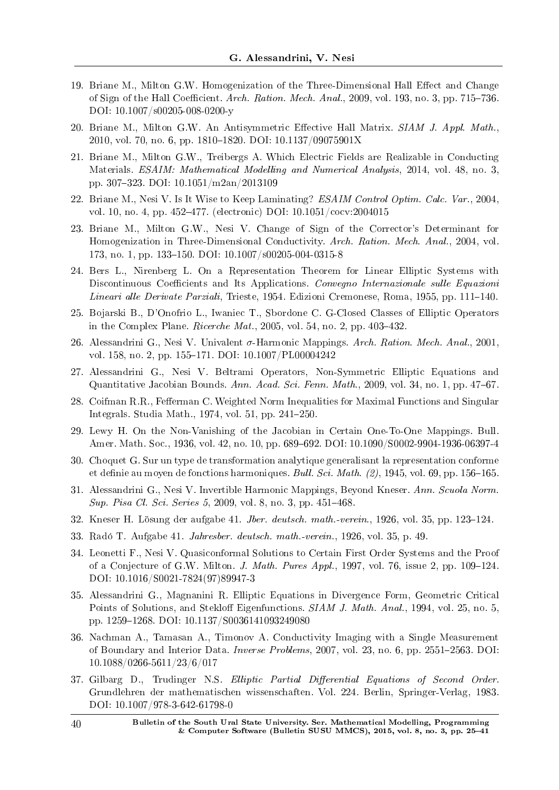- 19. Briane M., Milton G.W. Homogenization of the Three-Dimensional Hall Effect and Change of Sign of the Hall Coefficient. Arch. Ration. Mech. Anal., 2009, vol. 193, no. 3, pp. 715–736. DOI: 10.1007/s00205-008-0200-y
- 20. Briane M., Milton G.W. An Antisymmetric Effective Hall Matrix. SIAM J. Appl. Math., 2010, vol. 70, no. 6, pp. 1810-1820. DOI:  $10.1137/09075901X$
- 21. Briane M., Milton G.W., Treibergs A. Which Electric Fields are Realizable in Conducting Materials. ESAIM: Mathematical Modelling and Numerical Analysis, 2014, vol. 48, no. 3, pp. 307323. DOI: 10.1051/m2an/2013109
- 22. Briane M., Nesi V. Is It Wise to Keep Laminating? ESAIM Control Optim. Calc. Var., 2004, vol. 10, no. 4, pp. 452477. (electronic) DOI: 10.1051/cocv:2004015
- 23. Briane M., Milton G.W., Nesi V. Change of Sign of the Corrector's Determinant for Homogenization in Three-Dimensional Conductivity. Arch. Ration. Mech. Anal., 2004, vol. 173, no. 1, pp. 133-150. DOI:  $10.1007/\text{s}00205-004-0315-8$
- 24. Bers L., Nirenberg L. On a Representation Theorem for Linear Elliptic Systems with Discontinuous Coefficients and Its Applications. Convegno Internazionale sulle Equazioni Lineari alle Derivate Parziali, Trieste, 1954. Edizioni Cremonese, Roma, 1955, pp. 111–140.
- 25. Bojarski B., D'Onofrio L., Iwaniec T., Sbordone C. G-Closed Classes of Elliptic Operators in the Complex Plane. Ricerche Mat., 2005, vol. 54, no. 2, pp.  $403-432$ .
- 26. Alessandrini G., Nesi V. Univalent *σ*-Harmonic Mappings. Arch. Ration. Mech. Anal., 2001, vol. 158, no. 2, pp. 155-171. DOI: 10.1007/PL00004242
- 27. Alessandrini G., Nesi V. Beltrami Operators, Non-Symmetric Elliptic Equations and Quantitative Jacobian Bounds. Ann. Acad. Sci. Fenn. Math., 2009, vol. 34, no. 1, pp. 4767.
- 28. Coifman R.R., Fefferman C. Weighted Norm Inequalities for Maximal Functions and Singular Integrals. Studia Math., 1974, vol. 51, pp. 241-250.
- 29. Lewy H. On the Non-Vanishing of the Jacobian in Certain One-To-One Mappings. Bull. Amer. Math. Soc., 1936, vol. 42, no. 10, pp. 689-692. DOI: 10.1090/S0002-9904-1936-06397-4
- 30. Choquet G. Sur un type de transformation analytique generalisant la representation conforme et definie au moyen de fonctions harmoniques. Bull. Sci. Math.  $(2)$ , 1945, vol. 69, pp. 156–165.
- 31. Alessandrini G., Nesi V. Invertible Harmonic Mappings, Beyond Kneser. Ann. Scuola Norm. Sup. Pisa Cl. Sci. Series 5, 2009, vol. 8, no. 3, pp. 451-468.
- 32. Kneser H. Lösung der aufgabe 41. Jber. deutsch. math.-verein., 1926, vol. 35, pp. 123–124.
- 33. Rado T. Aufgabe 41. Jahresber. deutsch. math.-verein., 1926, vol. 35, p. 49.
- 34. Leonetti F., Nesi V. Quasiconformal Solutions to Certain First Order Systems and the Proof of a Conjecture of G.W. Milton. *J. Math. Pures Appl.*, 1997, vol. 76, issue 2, pp. 109–124. DOI: 10.1016/S0021-7824(97)89947-3
- 35. Alessandrini G., Magnanini R. Elliptic Equations in Divergence Form, Geometric Critical Points of Solutions, and Stekloff Eigenfunctions. SIAM J. Math. Anal., 1994, vol. 25, no. 5, pp. 12591268. DOI: 10.1137/S0036141093249080
- 36. Nachman A., Tamasan A., Timonov A. Conductivity Imaging with a Single Measurement of Boundary and Interior Data. Inverse Problems, 2007, vol. 23, no. 6, pp. 2551-2563. DOI: 10.1088/0266-5611/23/6/017
- 37. Gilbarg D., Trudinger N.S. Elliptic Partial Differential Equations of Second Order. Grundlehren der mathematischen wissenschaften. Vol. 224. Berlin, Springer-Verlag, 1983. DOI: 10.1007/978-3-642-61798-0